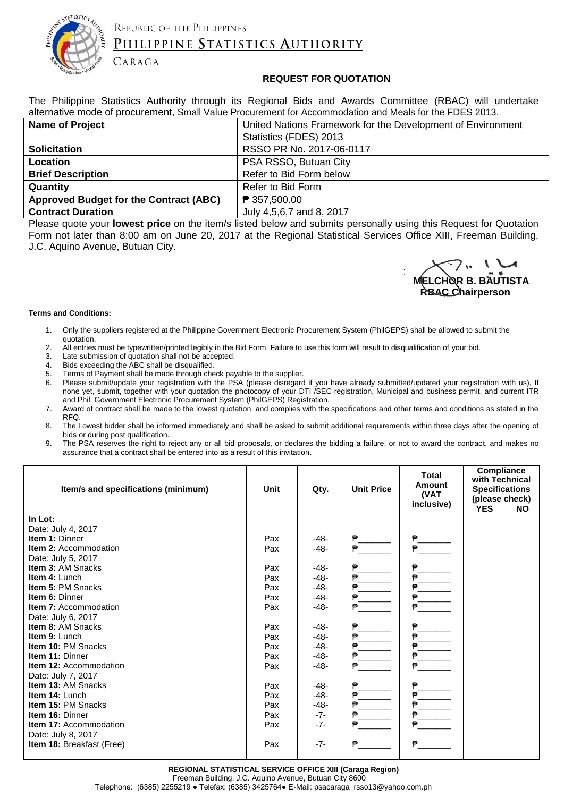

## REPUBLIC OF THE PHILIPPINES PHILIPPINE STATISTICS AUTHORITY

#### **REQUEST FOR QUOTATION**

The Philippine Statistics Authority through its Regional Bids and Awards Committee (RBAC) will undertake alternative mode of procurement, Small Value Procurement for Accommodation and Meals for the FDES 2013.

| <b>Name of Project</b>                 | United Nations Framework for the Development of Environment |  |  |  |
|----------------------------------------|-------------------------------------------------------------|--|--|--|
|                                        | Statistics (FDES) 2013                                      |  |  |  |
| <b>Solicitation</b>                    | RSSO PR No. 2017-06-0117                                    |  |  |  |
| Location                               | PSA RSSO, Butuan City                                       |  |  |  |
| <b>Brief Description</b>               | Refer to Bid Form below                                     |  |  |  |
| Quantity                               | Refer to Bid Form                                           |  |  |  |
| Approved Budget for the Contract (ABC) | ₱ 357,500.00                                                |  |  |  |
| <b>Contract Duration</b>               | July 4,5,6,7 and 8, 2017                                    |  |  |  |

Please quote your **lowest price** on the item/s listed below and submits personally using this Request for Quotation Form not later than 8:00 am on June 20, 2017 at the Regional Statistical Services Office XIII, Freeman Building, J.C. Aquino Avenue, Butuan City.

**MELCHOR B. BAUTISTA RBAC Chairperson** 

#### **Terms and Conditions:**

- 1. Only the suppliers registered at the Philippine Government Electronic Procurement System (PhilGEPS) shall be allowed to submit the quotation.
- 2. All entries must be typewritten/printed legibly in the Bid Form. Failure to use this form will result to disqualification of your bid.<br>3. Late submission of quotation shall not be accepted.
- Late submission of quotation shall not be accepted.

CARAGA

- 4. Bids exceeding the ABC shall be disqualified.
- 5. Terms of Payment shall be made through check payable to the supplier.
- 6. Please submit/update your registration with the PSA (please disregard if you have already submitted/updated your registration with us), If none yet, submit, together with your quotation the photocopy of your DTI /SEC registration, Municipal and business permit, and current ITR and Phil. Government Electronic Procurement System (PhilGEPS) Registration.
- 7. Award of contract shall be made to the lowest quotation, and complies with the specifications and other terms and conditions as stated in the RFQ.
- 8. The Lowest bidder shall be informed immediately and shall be asked to submit additional requirements within three days after the opening of bids or during post qualification.
- 9. The PSA reserves the right to reject any or all bid proposals, or declares the bidding a failure, or not to award the contract, and makes no assurance that a contract shall be entered into as a result of this invitation.

| Item/s and specifications (minimum) | Unit | Qty.   | <b>Unit Price</b> | <b>Total</b><br><b>Amount</b><br>(VAT<br>inclusive) | Compliance<br>with Technical<br><b>Specifications</b><br>(please check)<br><b>YES</b> | <b>NO</b> |
|-------------------------------------|------|--------|-------------------|-----------------------------------------------------|---------------------------------------------------------------------------------------|-----------|
| In Lot:                             |      |        |                   |                                                     |                                                                                       |           |
| Date: July 4, 2017                  |      |        |                   |                                                     |                                                                                       |           |
| <b>Item 1: Dinner</b>               | Pax  | $-48-$ | ₱                 | ₱                                                   |                                                                                       |           |
| <b>Item 2: Accommodation</b>        | Pax  | $-48-$ |                   | ₿                                                   |                                                                                       |           |
| Date: July 5, 2017                  |      |        |                   |                                                     |                                                                                       |           |
| <b>Item 3: AM Snacks</b>            | Pax  | -48-   |                   | ₱                                                   |                                                                                       |           |
| <b>Item 4: Lunch</b>                | Pax  | $-48-$ | ₱                 | ₿                                                   |                                                                                       |           |
| <b>Item 5: PM Snacks</b>            | Pax  | -48-   | ₿                 | $P_{-}$                                             |                                                                                       |           |
| <b>Item 6: Dinner</b>               | Pax  | -48-   |                   | ₱                                                   |                                                                                       |           |
| <b>Item 7: Accommodation</b>        | Pax  | $-48-$ | ₱                 | ₱                                                   |                                                                                       |           |
| Date: July 6, 2017                  |      |        |                   |                                                     |                                                                                       |           |
| <b>Item 8: AM Snacks</b>            | Pax  | $-48-$ | ₱                 | ₱                                                   |                                                                                       |           |
| <b>Item 9: Lunch</b>                | Pax  | $-48-$ | ₱                 | ₱                                                   |                                                                                       |           |
| Item 10: PM Snacks                  | Pax  | $-48-$ |                   | ₱                                                   |                                                                                       |           |
| <b>Item 11: Dinner</b>              | Pax  | -48-   | ₱                 | ₱                                                   |                                                                                       |           |
| <b>Item 12: Accommodation</b>       | Pax  | -48-   | ₱                 | ₱                                                   |                                                                                       |           |
| Date: July 7, 2017                  |      |        |                   |                                                     |                                                                                       |           |
| <b>Item 13: AM Snacks</b>           | Pax  | $-48-$ | ₱                 | ₱                                                   |                                                                                       |           |
| <b>Item 14: Lunch</b>               | Pax  | -48-   | ₱                 | ₱                                                   |                                                                                       |           |
| <b>Item 15: PM Snacks</b>           | Pax  | $-48-$ |                   | ₱                                                   |                                                                                       |           |
| Item 16: Dinner                     | Pax  | $-7-$  | ₱                 | ₱.                                                  |                                                                                       |           |
| <b>Item 17: Accommodation</b>       | Pax  | $-7-$  | ₿                 |                                                     |                                                                                       |           |
| Date: July 8, 2017                  |      |        |                   |                                                     |                                                                                       |           |
| Item 18: Breakfast (Free)           | Pax  | $-7-$  | ₿                 | ₱                                                   |                                                                                       |           |
|                                     |      |        |                   |                                                     |                                                                                       |           |